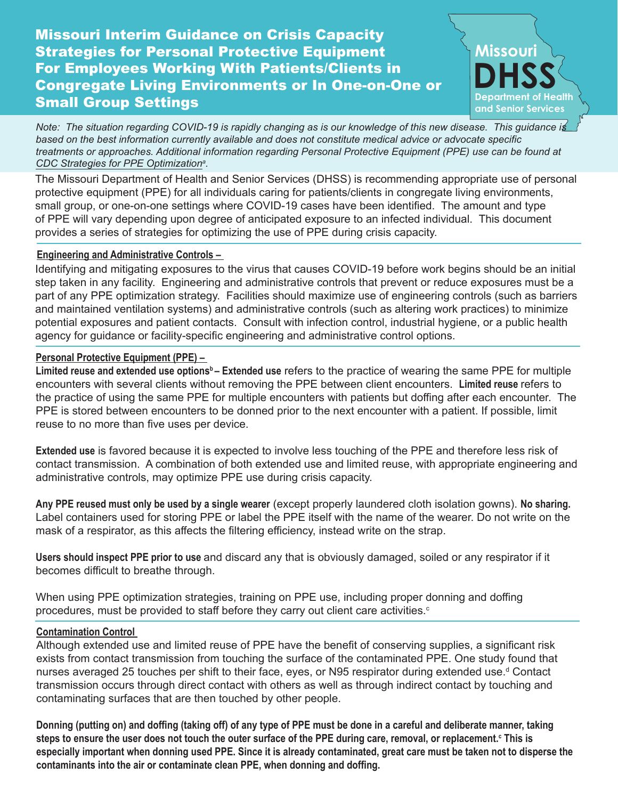# Missouri Interim Guidance on Crisis Capacity Strategies for Personal Protective Equipment For Employees Working With Patients/Clients in Congregate Living Environments or In One-on-One or Small Group Settings



*Note: The situation regarding COVID-19 is rapidly changing as is our knowledge of this new disease. This guidance is based on the best information currently available and does not constitute medical advice or advocate specific treatments or approaches. Additional information regarding Personal Protective Equipment (PPE) use can be found at [CDC Strategies for PPE Optimization](https://www.cdc.gov/coronavirus/2019-ncov/hcp/ppe-strategy/index.html)<sup>a</sup> .*

The Missouri Department of Health and Senior Services (DHSS) is recommending appropriate use of personal protective equipment (PPE) for all individuals caring for patients/clients in congregate living environments, small group, or one-on-one settings where COVID-19 cases have been identified. The amount and type of PPE will vary depending upon degree of anticipated exposure to an infected individual. This document provides a series of strategies for optimizing the use of PPE during crisis capacity.

### **Engineering and Administrative Controls –**

Identifying and mitigating exposures to the virus that causes COVID-19 before work begins should be an initial step taken in any facility. Engineering and administrative controls that prevent or reduce exposures must be a part of any PPE optimization strategy. Facilities should maximize use of engineering controls (such as barriers and maintained ventilation systems) and administrative controls (such as altering work practices) to minimize potential exposures and patient contacts. Consult with infection control, industrial hygiene, or a public health agency for guidance or facility-specific engineering and administrative control options.

### **Personal Protective Equipment (PPE) –**

Limited reuse and extended use options<sup>b</sup> – Extended use refers to the practice of wearing the same PPE for multiple encounters with several clients without removing the PPE between client encounters. **Limited reuse** refers to the practice of using the same PPE for multiple encounters with patients but doffing after each encounter. The PPE is stored between encounters to be donned prior to the next encounter with a patient. If possible, limit reuse to no more than five uses per device.

**Extended use** is favored because it is expected to involve less touching of the PPE and therefore less risk of contact transmission. A combination of both extended use and limited reuse, with appropriate engineering and administrative controls, may optimize PPE use during crisis capacity.

**Any PPE reused must only be used by a single wearer** (except properly laundered cloth isolation gowns). **No sharing.** Label containers used for storing PPE or label the PPE itself with the name of the wearer. Do not write on the mask of a respirator, as this affects the filtering efficiency, instead write on the strap.

**Users should inspect PPE prior to use** and discard any that is obviously damaged, soiled or any respirator if it becomes difficult to breathe through.

When using PPE optimization strategies, training on PPE use, including proper donning and doffing procedures, must be provided to staff before they carry out client care activities. $\circ$ 

### **Contamination Control**

Although extended use and limited reuse of PPE have the benefit of conserving supplies, a significant risk exists from contact transmission from touching the surface of the contaminated PPE. One study found that nurses averaged 25 touches per shift to their face, eyes, or N95 respirator during extended use.ª Contact transmission occurs through direct contact with others as well as through indirect contact by touching and contaminating surfaces that are then touched by other people.

**Donning (putting on) and doffing (taking off) of any type of PPE must be done in a careful and deliberate manner, taking steps to ensure the user does not touch the outer surface of the PPE during care, removal, or replacement.<sup>c</sup> This is especially important when donning used PPE. Since it is already contaminated, great care must be taken not to disperse the contaminants into the air or contaminate clean PPE, when donning and doffing.**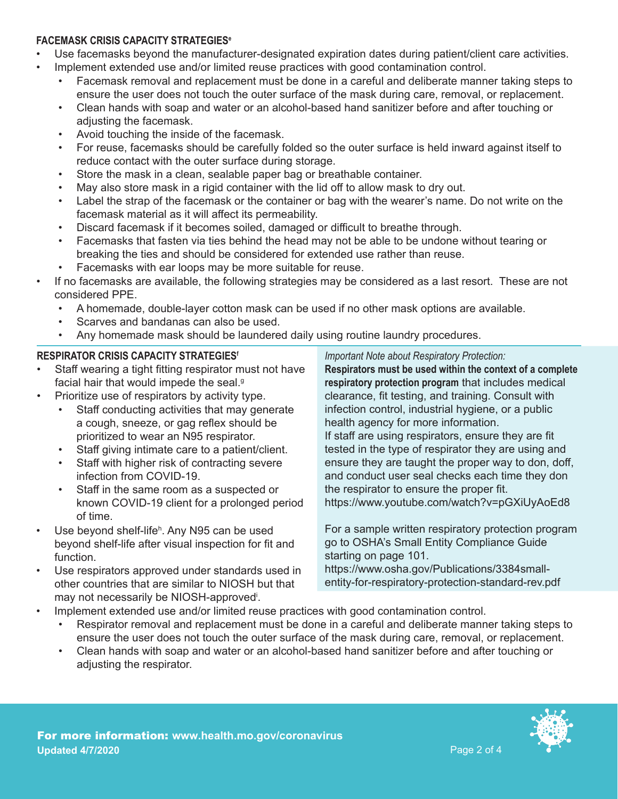### **FACEMASK CRISIS CAPACITY STRATEGIESe**

- Use facemasks beyond the manufacturer-designated expiration dates during patient/client care activities.
	- Implement extended use and/or limited reuse practices with good contamination control.
		- Facemask removal and replacement must be done in a careful and deliberate manner taking steps to ensure the user does not touch the outer surface of the mask during care, removal, or replacement.
		- Clean hands with soap and water or an alcohol-based hand sanitizer before and after touching or adjusting the facemask.
		- Avoid touching the inside of the facemask.
		- For reuse, facemasks should be carefully folded so the outer surface is held inward against itself to reduce contact with the outer surface during storage.
		- Store the mask in a clean, sealable paper bag or breathable container.
		- May also store mask in a rigid container with the lid off to allow mask to dry out.
		- Label the strap of the facemask or the container or bag with the wearer's name. Do not write on the facemask material as it will affect its permeability.
		- Discard facemask if it becomes soiled, damaged or difficult to breathe through.
		- Facemasks that fasten via ties behind the head may not be able to be undone without tearing or breaking the ties and should be considered for extended use rather than reuse.
		- Facemasks with ear loops may be more suitable for reuse.
- If no facemasks are available, the following strategies may be considered as a last resort. These are not considered PPE.
	- A homemade, double-layer cotton mask can be used if no other mask options are available.
	- Scarves and bandanas can also be used.
	- Any homemade mask should be laundered daily using routine laundry procedures.

### **RESPIRATOR CRISIS CAPACITY STRATEGIESf**

- Staff wearing a tight fitting respirator must not have facial hair that would impede the seal.<sup>9</sup>
- Prioritize use of respirators by activity type.
	- Staff conducting activities that may generate a cough, sneeze, or gag reflex should be prioritized to wear an N95 respirator.
	- Staff giving intimate care to a patient/client.
	- Staff with higher risk of contracting severe infection from COVID-19.
	- Staff in the same room as a suspected or known COVID-19 client for a prolonged period of time.
- Use beyond shelf-lifeʰ. Any N95 can be used beyond shelf-life after visual inspection for fit and function.
- Use respirators approved under standards used in other countries that are similar to NIOSH but that may not necessarily be NIOSH-approved<sup>i</sup> .

*Important Note about Respiratory Protection:*

**Respirators must be used within the context of a complete respiratory protection program** that includes medical clearance, fit testing, and training. Consult with infection control, industrial hygiene, or a public health agency for more information. If staff are using respirators, ensure they are fit tested in the type of respirator they are using and ensure they are taught the proper way to don, doff, and conduct user seal checks each time they don

the respirator to ensure the proper fit. https://www.youtube.com/watch?v=pGXiUyAoEd8

For a sample written respiratory protection program go to OSHA's Small Entity Compliance Guide starting on page 101.

https://www.osha.gov/Publications/3384smallentity-for-respiratory-protection-standard-rev.pdf

- Implement extended use and/or limited reuse practices with good contamination control.
	- Respirator removal and replacement must be done in a careful and deliberate manner taking steps to ensure the user does not touch the outer surface of the mask during care, removal, or replacement.
	- Clean hands with soap and water or an alcohol-based hand sanitizer before and after touching or adjusting the respirator.

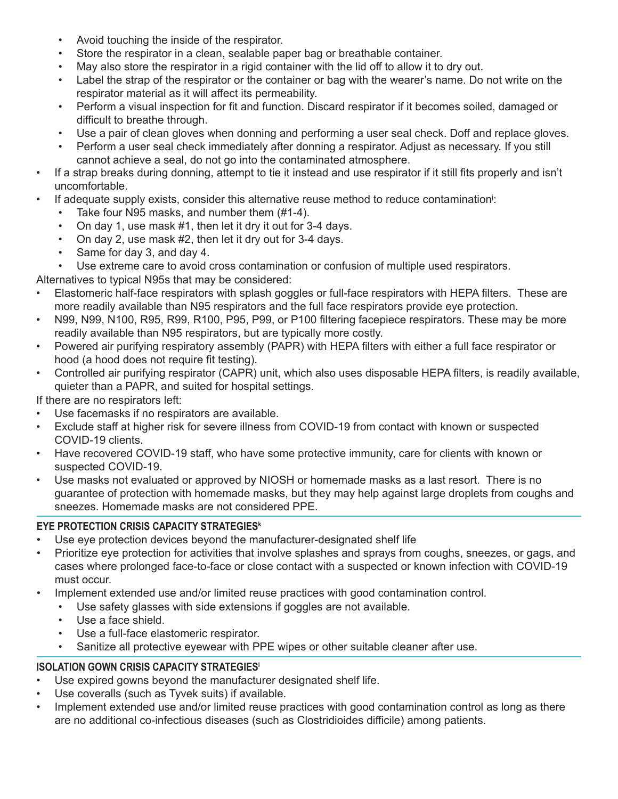- Avoid touching the inside of the respirator.
- Store the respirator in a clean, sealable paper bag or breathable container.
- May also store the respirator in a rigid container with the lid off to allow it to dry out.
- Label the strap of the respirator or the container or bag with the wearer's name. Do not write on the respirator material as it will affect its permeability.
- Perform a visual inspection for fit and function. Discard respirator if it becomes soiled, damaged or difficult to breathe through.
- Use a pair of clean gloves when donning and performing a user seal check. Doff and replace gloves.
- Perform a user seal check immediately after donning a respirator. Adjust as necessary. If you still cannot achieve a seal, do not go into the contaminated atmosphere.
- If a strap breaks during donning, attempt to tie it instead and use respirator if it still fits properly and isn't uncomfortable.
- If adequate supply exists, consider this alternative reuse method to reduce contamination<sup>j</sup>:
	- Take four N95 masks, and number them (#1-4).
	- On day 1, use mask #1, then let it dry it out for 3-4 days.
	- On day 2, use mask #2, then let it dry out for 3-4 days.
	- Same for day 3, and day 4.
	- Use extreme care to avoid cross contamination or confusion of multiple used respirators.

Alternatives to typical N95s that may be considered:

- Elastomeric half-face respirators with splash goggles or full-face respirators with HEPA filters. These are more readily available than N95 respirators and the full face respirators provide eye protection.
- N99, N99, N100, R95, R99, R100, P95, P99, or P100 filtering facepiece respirators. These may be more readily available than N95 respirators, but are typically more costly.
- Powered air purifying respiratory assembly (PAPR) with HEPA filters with either a full face respirator or hood (a hood does not require fit testing).
- Controlled air purifying respirator (CAPR) unit, which also uses disposable HEPA filters, is readily available, quieter than a PAPR, and suited for hospital settings.

If there are no respirators left:

- Use facemasks if no respirators are available.
- Exclude staff at higher risk for severe illness from COVID-19 from contact with known or suspected COVID-19 clients.
- Have recovered COVID-19 staff, who have some protective immunity, care for clients with known or suspected COVID-19.
- Use masks not evaluated or approved by NIOSH or homemade masks as a last resort. There is no guarantee of protection with homemade masks, but they may help against large droplets from coughs and sneezes. Homemade masks are not considered PPE.

## **EYE PROTECTION CRISIS CAPACITY STRATEGIES<sup>k</sup>**

- Use eye protection devices beyond the manufacturer-designated shelf life
- Prioritize eye protection for activities that involve splashes and sprays from coughs, sneezes, or gags, and cases where prolonged face-to-face or close contact with a suspected or known infection with COVID-19 must occur.
- Implement extended use and/or limited reuse practices with good contamination control.
	- Use safety glasses with side extensions if goggles are not available.
	- Use a face shield.
	- Use a full-face elastomeric respirator.
	- Sanitize all protective eyewear with PPE wipes or other suitable cleaner after use.

## **ISOLATION GOWN CRISIS CAPACITY STRATEGIES<sup>1</sup>**

- Use expired gowns beyond the manufacturer designated shelf life.
- Use coveralls (such as Tyvek suits) if available.
- Implement extended use and/or limited reuse practices with good contamination control as long as there are no additional co-infectious diseases (such as Clostridioides difficile) among patients.